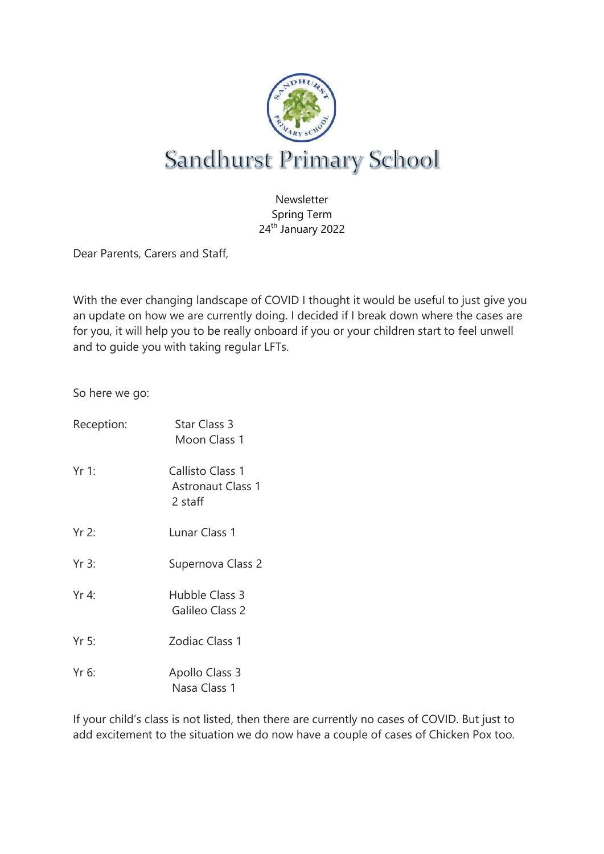

Newsletter Spring Term 24<sup>th</sup> January 2022

Dear Parents, Carers and Staff,

With the ever changing landscape of COVID I thought it would be useful to just give you an update on how we are currently doing. I decided if I break down where the cases are for you, it will help you to be really onboard if you or your children start to feel unwell and to guide you with taking regular LFTs.

So here we go:

| Reception: | <b>Star Class 3</b><br>Moon Class 1                     |
|------------|---------------------------------------------------------|
| $Yr1$ :    | Callisto Class 1<br><b>Astronaut Class 1</b><br>2 staff |
| $Yr$ 2:    | Lunar Class 1                                           |
| $Yr$ 3:    | Supernova Class 2                                       |
| $Yr$ 4:    | Hubble Class 3<br>Galileo Class 2                       |
| Yr 5:      | Zodiac Class 1                                          |
| $Yr$ 6:    | Apollo Class 3<br>Nasa Class 1                          |

If your child's class is not listed, then there are currently no cases of COVID. But just to add excitement to the situation we do now have a couple of cases of Chicken Pox too.